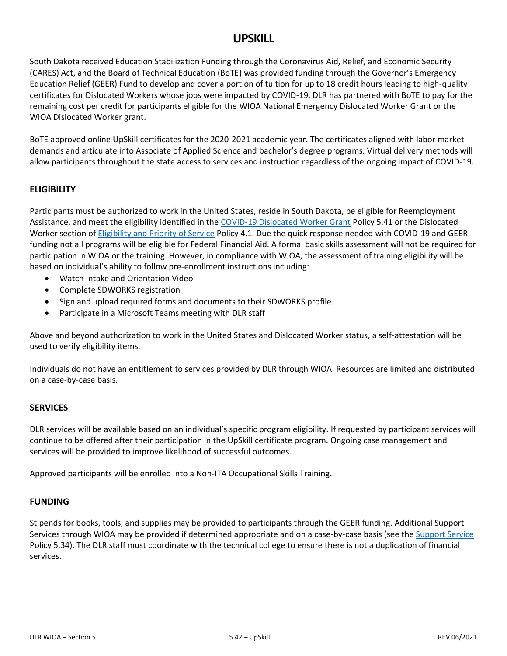# **UPSKILL**

South Dakota received Education Stabilization Funding through the Coronavirus Aid, Relief, and Economic Security (CARES) Act, and the Board of Technical Education (BoTE) was provided funding through the Governor's Emergency Education Relief (GEER) Fund to develop and cover a portion of tuition for up to 18 credit hours leading to high-quality certificates for Dislocated Workers whose jobs were impacted by COVID-19. DLR has partnered with BoTE to pay for the remaining cost per credit for participants eligible for the WIOA National Emergency Dislocated Worker Grant or the WIOA Dislocated Worker grant.

BoTE approved online UpSkill certificates for the 2020-2021 academic year. The certificates aligned with labor market demands and articulate into Associate of Applied Science and bachelor's degree programs. Virtual delivery methods will allow participants throughout the state access to services and instruction regardless of the ongoing impact of COVID-19.

## **ELIGIBILITY**

Participants must be authorized to work in the United States, reside in South Dakota, be eligible for Reemployment Assistance, and meet the eligibility identified in the [COVID-19 Dislocated Worker Grant](https://dlr.sd.gov/workforce_services/wioa/wioa_manual/5.41_covid19_dw_grant.pdf) Policy 5.41 or the Dislocated Worker section of [Eligibility and Priority of Service](https://dlr.sd.gov/workforce_services/wioa/wioa_manual/4.1_eligibility_wpadultsandworkers.pdf) Policy 4.1. Due the quick response needed with COVID-19 and GEER funding not all programs will be eligible for Federal Financial Aid. A formal basic skills assessment will not be required for participation in WIOA or the training. However, in compliance with WIOA, the assessment of training eligibility will be based on individual's ability to follow pre-enrollment instructions including:

- Watch Intake and Orientation Video
- Complete SDWORKS registration
- Sign and upload required forms and documents to their SDWORKS profile
- Participate in a Microsoft Teams meeting with DLR staff

Above and beyond authorization to work in the United States and Dislocated Worker status, a self-attestation will be used to verify eligibility items.

Individuals do not have an entitlement to services provided by DLR through WIOA. Resources are limited and distributed on a case-by-case basis.

#### **SERVICES**

DLR services will be available based on an individual's specific program eligibility. If requested by participant services will continue to be offered after their participation in the UpSkill certificate program. Ongoing case management and services will be provided to improve likelihood of successful outcomes.

Approved participants will be enrolled into a Non-ITA Occupational Skills Training.

#### **FUNDING**

Stipends for books, tools, and supplies may be provided to participants through the GEER funding. Additional Support Services through WIOA may be provided if determined appropriate and on a case-by-case basis (see the [Support Service](https://dlr.sd.gov/workforce_services/wioa/wioa_manual/5.34_supportservices.pdf) Policy 5.34). The DLR staff must coordinate with the technical college to ensure there is not a duplication of financial services.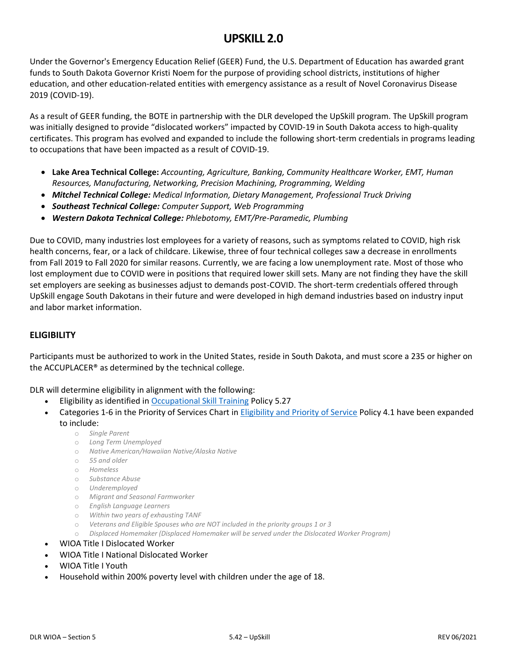# **UPSKILL 2.0**

Under the Governor's Emergency Education Relief (GEER) Fund, the U.S. Department of Education has awarded grant funds to South Dakota Governor Kristi Noem for the purpose of providing school districts, institutions of higher education, and other education‐related entities with emergency assistance as a result of Novel Coronavirus Disease 2019 (COVID-19).

As a result of GEER funding, the BOTE in partnership with the DLR developed the UpSkill program. The UpSkill program was initially designed to provide "dislocated workers" impacted by COVID-19 in South Dakota access to high-quality certificates. This program has evolved and expanded to include the following short-term credentials in programs leading to occupations that have been impacted as a result of COVID-19.

- **Lake Area Technical College:** *Accounting, Agriculture, Banking, Community Healthcare Worker, EMT, Human Resources, Manufacturing, Networking, Precision Machining, Programming, Welding*
- *Mitchel Technical College: Medical Information, Dietary Management, Professional Truck Driving*
- *Southeast Technical College: Computer Support, Web Programming*
- *Western Dakota Technical College: Phlebotomy, EMT/Pre-Paramedic, Plumbing*

Due to COVID, many industries lost employees for a variety of reasons, such as symptoms related to COVID, high risk health concerns, fear, or a lack of childcare. Likewise, three of four technical colleges saw a decrease in enrollments from Fall 2019 to Fall 2020 for similar reasons. Currently, we are facing a low unemployment rate. Most of those who lost employment due to COVID were in positions that required lower skill sets. Many are not finding they have the skill set employers are seeking as businesses adjust to demands post-COVID. The short-term credentials offered through UpSkill engage South Dakotans in their future and were developed in high demand industries based on industry input and labor market information.

## **ELIGIBILITY**

Participants must be authorized to work in the United States, reside in South Dakota, and must score a 235 or higher on the ACCUPLACER® as determined by the technical college.

DLR will determine eligibility in alignment with the following:

- Eligibility as identified in [Occupational Skill Training](https://dlr.sd.gov/workforce_services/wioa/wioa_manual/5.27_occupationalskillstraining.pdf) Policy 5.27
- Categories 1-6 in the Priority of Services Chart in Eligibility [and Priority of Service](https://dlr.sd.gov/workforce_services/wioa/wioa_manual/4.1_eligibility_wpadultsandworkers.pdf) Policy 4.1 have been expanded to include:
	- o *Single Parent*
	- o *Long Term Unemployed*
	- o *Native American/Hawaiian Native/Alaska Native*
	- o *55 and older*
	- o *Homeless*
	- o *Substance Abuse*
	- o *Underemployed*
	- o *Migrant and Seasonal Farmworker*
	- o *English Language Learners*
	- o *Within two years of exhausting TANF*
	- o *Veterans and Eligible Spouses who are NOT included in the priority groups 1 or 3*
	- o *Displaced Homemaker (Displaced Homemaker will be served under the Dislocated Worker Program)*
- WIOA Title I Dislocated Worker
- WIOA Title I National Dislocated Worker
- WIOA Title I Youth
- Household within 200% poverty level with children under the age of 18.